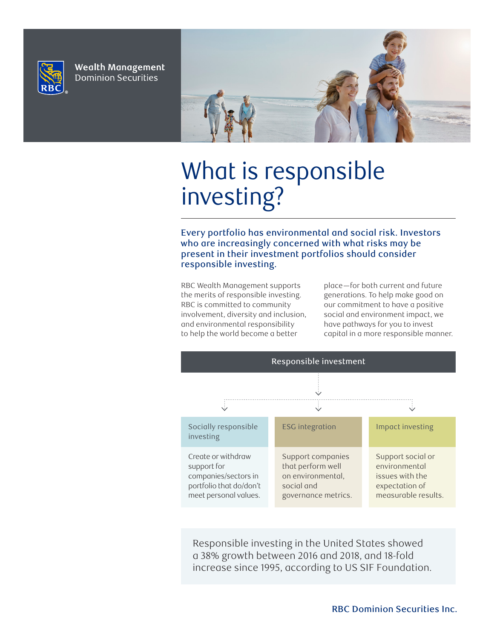

**Wealth Management Dominion Securities** 



# What is responsible investing?

Every portfolio has environmental and social risk. Investors who are increasingly concerned with what risks may be present in their investment portfolios should consider responsible investing.

RBC Wealth Management supports the merits of responsible investing. RBC is committed to community involvement, diversity and inclusion, and environmental responsibility to help the world become a better

place—for both current and future generations. To help make good on our commitment to have a positive social and environment impact, we have pathways for you to invest capital in a more responsible manner.



Responsible investing in the United States showed a 38% growth between 2016 and 2018, and 18-fold increase since 1995, according to US SIF Foundation.